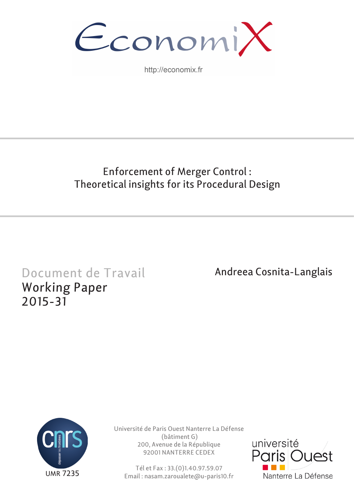

http://economix.fr

## Enforcement of Merger Control : Theoretical insights for its Procedural Design

# Document de Travail Working Paper 2015-31

## Andreea Cosnita-Langlais



Université de Paris Ouest Nanterre La Défense (bâtiment G) 200, Avenue de la République 92001 NANTERRE CEDEX

Tél et Fax : 33.(0)1.40.97.59.07 Email : nasam.zaroualete@u-paris10.fr

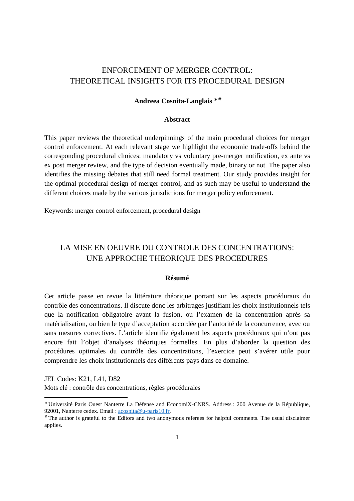### ENFORCEMENT OF MERGER CONTROL: THEORETICAL INSIGHTS FOR ITS PROCEDURAL DESIGN

#### **Andreea Cosnita-Langlais** <sup>∗</sup> #

#### **Abstract**

This paper reviews the theoretical underpinnings of the main procedural choices for merger control enforcement. At each relevant stage we highlight the economic trade-offs behind the corresponding procedural choices: mandatory vs voluntary pre-merger notification, ex ante vs ex post merger review, and the type of decision eventually made, binary or not. The paper also identifies the missing debates that still need formal treatment. Our study provides insight for the optimal procedural design of merger control, and as such may be useful to understand the different choices made by the various jurisdictions for merger policy enforcement.

Keywords: merger control enforcement, procedural design

### LA MISE EN OEUVRE DU CONTROLE DES CONCENTRATIONS: UNE APPROCHE THEORIQUE DES PROCEDURES

#### **Résumé**

Cet article passe en revue la littérature théorique portant sur les aspects procéduraux du contrôle des concentrations. Il discute donc les arbitrages justifiant les choix institutionnels tels que la notification obligatoire avant la fusion, ou l'examen de la concentration après sa matérialisation, ou bien le type d'acceptation accordée par l'autorité de la concurrence, avec ou sans mesures correctives. L'article identifie également les aspects procéduraux qui n'ont pas encore fait l'objet d'analyses théoriques formelles. En plus d'aborder la question des procédures optimales du contrôle des concentrations, l'exercice peut s'avérer utile pour comprendre les choix institutionnels des différents pays dans ce domaine.

JEL Codes: K21, L41, D82

 $\overline{a}$ 

Mots clé : contrôle des concentrations, règles procédurales

<sup>∗</sup> Université Paris Ouest Nanterre La Défense and EconomiX-CNRS. Address : 200 Avenue de la République, 92001, Nanterre cedex. Email : acosnita@u-paris10.fr.

<sup>#</sup> The author is grateful to the Editors and two anonymous referees for helpful comments. The usual disclaimer applies.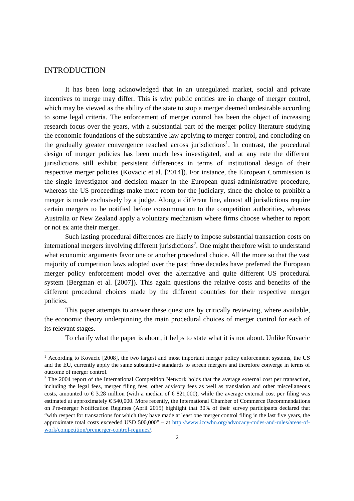#### INTRODUCTION

 $\overline{a}$ 

It has been long acknowledged that in an unregulated market, social and private incentives to merge may differ. This is why public entities are in charge of merger control, which may be viewed as the ability of the state to stop a merger deemed undesirable according to some legal criteria. The enforcement of merger control has been the object of increasing research focus over the years, with a substantial part of the merger policy literature studying the economic foundations of the substantive law applying to merger control, and concluding on the gradually greater convergence reached across jurisdictions<sup>1</sup>. In contrast, the procedural design of merger policies has been much less investigated, and at any rate the different jurisdictions still exhibit persistent differences in terms of institutional design of their respective merger policies (Kovacic et al. [2014]). For instance, the European Commission is the single investigator and decision maker in the European quasi-administrative procedure, whereas the US proceedings make more room for the judiciary, since the choice to prohibit a merger is made exclusively by a judge. Along a different line, almost all jurisdictions require certain mergers to be notified before consummation to the competition authorities, whereas Australia or New Zealand apply a voluntary mechanism where firms choose whether to report or not ex ante their merger.

Such lasting procedural differences are likely to impose substantial transaction costs on international mergers involving different jurisdictions<sup>2</sup>. One might therefore wish to understand what economic arguments favor one or another procedural choice. All the more so that the vast majority of competition laws adopted over the past three decades have preferred the European merger policy enforcement model over the alternative and quite different US procedural system (Bergman et al. [2007]). This again questions the relative costs and benefits of the different procedural choices made by the different countries for their respective merger policies.

This paper attempts to answer these questions by critically reviewing, where available, the economic theory underpinning the main procedural choices of merger control for each of its relevant stages.

To clarify what the paper is about, it helps to state what it is not about. Unlike Kovacic

<sup>&</sup>lt;sup>1</sup> According to Kovacic [2008], the two largest and most important merger policy enforcement systems, the US and the EU, currently apply the same substantive standards to screen mergers and therefore converge in terms of outcome of merger control.

<sup>&</sup>lt;sup>2</sup> The 2004 report of the International Competition Network holds that the average external cost per transaction, including the legal fees, merger filing fees, other advisory fees as well as translation and other miscellaneous costs, amounted to  $\epsilon$  3.28 million (with a median of  $\epsilon$  821,000), while the average external cost per fling was estimated at approximately  $\epsilon$  540,000. More recently the International Chamber of Commerce Recommendations on Pre-merger Notification Regimes (April 2015) highlight that 30% of their survey participants declared that "with respect for transactions for which they have made at least one merger control filing in the last five years, the approximate total costs exceeded USD 500,000" – at http://www.iccwbo.org/advocacy-codes-and-rules/areas-ofwork/competition/premerger-control-regimes/.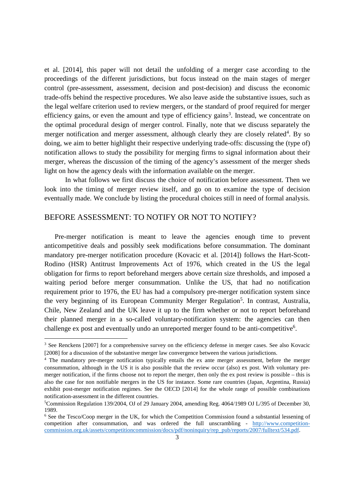et al. [2014], this paper will not detail the unfolding of a merger case according to the proceedings of the different jurisdictions, but focus instead on the main stages of merger control (pre-assessment, assessment, decision and post-decision) and discuss the economic trade-offs behind the respective procedures. We also leave aside the substantive issues, such as the legal welfare criterion used to review mergers, or the standard of proof required for merger efficiency gains, or even the amount and type of efficiency gains<sup>3</sup>. Instead, we concentrate on the optimal procedural design of merger control. Finally, note that we discuss separately the merger notification and merger assessment, although clearly they are closely related<sup>4</sup>. By so doing, we aim to better highlight their respective underlying trade-offs: discussing the (type of) notification allows to study the possibility for merging firms to signal information about their merger, whereas the discussion of the timing of the agency's assessment of the merger sheds light on how the agency deals with the information available on the merger.

In what follows we first discuss the choice of notification before assessment. Then we look into the timing of merger review itself, and go on to examine the type of decision eventually made. We conclude by listing the procedural choices still in need of formal analysis.

#### BEFORE ASSESSMENT: TO NOTIFY OR NOT TO NOTIFY?

 $\overline{a}$ 

Pre-merger notification is meant to leave the agencies enough time to prevent anticompetitive deals and possibly seek modifications before consummation. The dominant mandatory pre-merger notification procedure (Kovacic et al. [2014]) follows the Hart-Scott-Rodino (HSR) Antitrust Improvements Act of 1976, which created in the US the legal obligation for firms to report beforehand mergers above certain size thresholds, and imposed a waiting period before merger consummation. Unlike the US, that had no notification requirement prior to 1976, the EU has had a compulsory pre-merger notification system since the very beginning of its European Community Merger Regulation<sup>5</sup>. In contrast, Australia, Chile, New Zealand and the UK leave it up to the firm whether or not to report beforehand their planned merger in a so-called voluntary-notification system: the agencies can then challenge ex post and eventually undo an unreported merger found to be anti-competitive<sup>6</sup>.

<sup>&</sup>lt;sup>3</sup> See Renckens [2007] for a comprehensive survey on the efficiency defense in merger cases. See also Kovacic [2008] for a discussion of the substantive merger law convergence between the various jurisdictions.

<sup>4</sup> The mandatory pre-merger notification typically entails the ex ante merger assessment, before the merger consummation, although in the US it is also possible that the review occur (also) ex post. With voluntary premerger notification, if the firms choose not to report the merger, then only the ex post review is possible – this is also the case for non notifiable mergers in the US for instance. Some rare countries (Japan, Argentina, Russia) exhibit post-merger notification regimes. See the OECD [2014] for the whole range of possible combinations notification-assessment in the different countries.

<sup>5</sup>Commission Regulation 139/2004, OJ of 29 January 2004, amending Reg. 4064/1989 OJ L/395 of December 30, 1989.

<sup>&</sup>lt;sup>6</sup> See the Tesco/Coop merger in the UK, for which the Competition Commission found a substantial lessening of competition after consummation, and was ordered the full unscrambling - http://www.competitioncommission.org.uk/assets/competitioncommission/docs/pdf/noninquiry/rep\_pub/reports/2007/fulltext/534.pdf.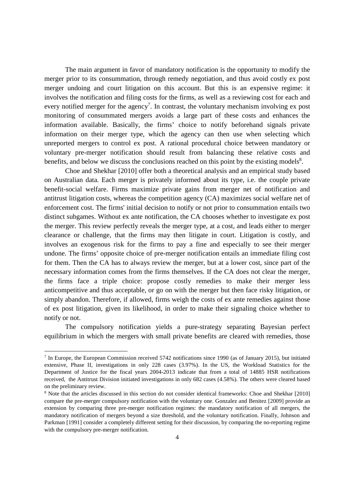The main argument in favor of mandatory notification is the opportunity to modify the merger prior to its consummation, through remedy negotiation, and thus avoid costly ex post merger undoing and court litigation on this account. But this is an expensive regime: it involves the notification and filing costs for the firms, as well as a reviewing cost for each and every notified merger for the agency<sup>7</sup>. In contrast, the voluntary mechanism involving ex post monitoring of consummated mergers avoids a large part of these costs and enhances the information available. Basically, the firms' choice to notify beforehand signals private information on their merger type, which the agency can then use when selecting which unreported mergers to control ex post. A rational procedural choice between mandatory or voluntary pre-merger notification should result from balancing these relative costs and benefits, and below we discuss the conclusions reached on this point by the existing models $8$ .

Choe and Shekhar [2010] offer both a theoretical analysis and an empirical study based on Australian data. Each merger is privately informed about its type, i.e. the couple private benefit-social welfare. Firms maximize private gains from merger net of notification and antitrust litigation costs, whereas the competition agency (CA) maximizes social welfare net of enforcement cost. The firms' initial decision to notify or not prior to consummation entails two distinct subgames. Without ex ante notification, the CA chooses whether to investigate ex post the merger. This review perfectly reveals the merger type, at a cost, and leads either to merger clearance or challenge, that the firms may then litigate in court. Litigation is costly, and involves an exogenous risk for the firms to pay a fine and especially to see their merger undone. The firms' opposite choice of pre-merger notification entails an immediate filing cost for them. Then the CA has to always review the merger, but at a lower cost, since part of the necessary information comes from the firms themselves. If the CA does not clear the merger, the firms face a triple choice: propose costly remedies to make their merger less anticompetitive and thus acceptable, or go on with the merger but then face risky litigation, or simply abandon. Therefore, if allowed, firms weigh the costs of ex ante remedies against those of ex post litigation, given its likelihood, in order to make their signaling choice whether to notify or not.

The compulsory notification yields a pure-strategy separating Bayesian perfect equilibrium in which the mergers with small private benefits are cleared with remedies, those

 $\overline{a}$ 

<sup>7</sup> In Europe, the European Commission received 5742 notifications since 1990 (as of January 2015), but initiated extensive, Phase II, investigations in only 228 cases (3.97%). In the US, the Workload Statistics for the Department of Justice for the fiscal years 2004-2013 indicate that from a total of 14885 HSR notifications received, the Antitrust Division initiated investigations in only 682 cases (4.58%). The others were cleared based on the preliminary review.

<sup>&</sup>lt;sup>8</sup> Note that the articles discussed in this section do not consider identical frameworks: Choe and Shekhar [2010] compare the pre-merger compulsory notification with the voluntary one. Gonzalez and Benitez [2009] provide an extension by comparing three pre-merger notification regimes: the mandatory notification of all mergers, the mandatory notification of mergers beyond a size threshold, and the voluntary notification. Finally, Johnson and Parkman [1991] consider a completely different setting for their discussion, by comparing the no-reporting regime with the compulsory pre-merger notification.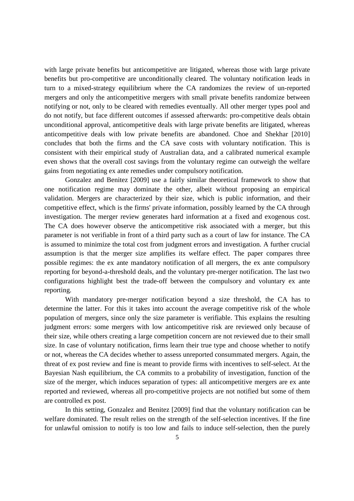with large private benefits but anticompetitive are litigated, whereas those with large private benefits but pro-competitive are unconditionally cleared. The voluntary notification leads in turn to a mixed-strategy equilibrium where the CA randomizes the review of un-reported mergers and only the anticompetitive mergers with small private benefits randomize between notifying or not, only to be cleared with remedies eventually. All other merger types pool and do not notify, but face different outcomes if assessed afterwards: pro-competitive deals obtain unconditional approval, anticompetitive deals with large private benefits are litigated, whereas anticompetitive deals with low private benefits are abandoned. Choe and Shekhar [2010] concludes that both the firms and the CA save costs with voluntary notification. This is consistent with their empirical study of Australian data, and a calibrated numerical example even shows that the overall cost savings from the voluntary regime can outweigh the welfare gains from negotiating ex ante remedies under compulsory notification.

Gonzalez and Benitez [2009] use a fairly similar theoretical framework to show that one notification regime may dominate the other, albeit without proposing an empirical validation. Mergers are characterized by their size, which is public information, and their competitive effect, which is the firms' private information, possibly learned by the CA through investigation. The merger review generates hard information at a fixed and exogenous cost. The CA does however observe the anticompetitive risk associated with a merger, but this parameter is not verifiable in front of a third party such as a court of law for instance. The CA is assumed to minimize the total cost from judgment errors and investigation. A further crucial assumption is that the merger size amplifies its welfare effect. The paper compares three possible regimes: the ex ante mandatory notification of all mergers, the ex ante compulsory reporting for beyond-a-threshold deals, and the voluntary pre-merger notification. The last two configurations highlight best the trade-off between the compulsory and voluntary ex ante reporting.

With mandatory pre-merger notification beyond a size threshold, the CA has to determine the latter. For this it takes into account the average competitive risk of the whole population of mergers, since only the size parameter is verifiable. This explains the resulting judgment errors: some mergers with low anticompetitive risk are reviewed only because of their size, while others creating a large competition concern are not reviewed due to their small size. In case of voluntary notification, firms learn their true type and choose whether to notify or not, whereas the CA decides whether to assess unreported consummated mergers. Again, the threat of ex post review and fine is meant to provide firms with incentives to self-select. At the Bayesian Nash equilibrium, the CA commits to a probability of investigation, function of the size of the merger, which induces separation of types: all anticompetitive mergers are ex ante reported and reviewed, whereas all pro-competitive projects are not notified but some of them are controlled ex post.

In this setting, Gonzalez and Benitez [2009] find that the voluntary notification can be welfare dominated. The result relies on the strength of the self-selection incentives. If the fine for unlawful omission to notify is too low and fails to induce self-selection, then the purely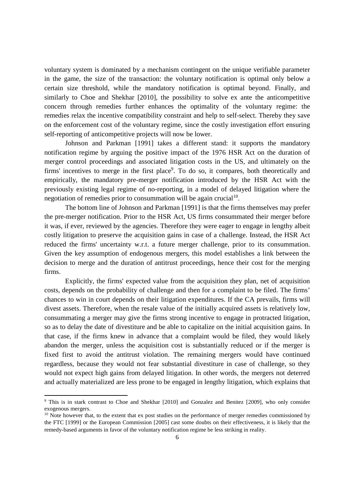voluntary system is dominated by a mechanism contingent on the unique verifiable parameter in the game, the size of the transaction: the voluntary notification is optimal only below a certain size threshold, while the mandatory notification is optimal beyond. Finally, and similarly to Choe and Shekhar [2010], the possibility to solve ex ante the anticompetitive concern through remedies further enhances the optimality of the voluntary regime: the remedies relax the incentive compatibility constraint and help to self-select. Thereby they save on the enforcement cost of the voluntary regime, since the costly investigation effort ensuring self-reporting of anticompetitive projects will now be lower.

Johnson and Parkman [1991] takes a different stand: it supports the mandatory notification regime by arguing the positive impact of the 1976 HSR Act on the duration of merger control proceedings and associated litigation costs in the US, and ultimately on the firms' incentives to merge in the first place<sup>9</sup>. To do so, it compares, both theoretically and empirically, the mandatory pre-merger notification introduced by the HSR Act with the previously existing legal regime of no-reporting, in a model of delayed litigation where the negotiation of remedies prior to consummation will be again crucial<sup>10</sup>.

The bottom line of Johnson and Parkman [1991] is that the firms themselves may prefer the pre-merger notification. Prior to the HSR Act, US firms consummated their merger before it was, if ever, reviewed by the agencies. Therefore they were eager to engage in lengthy albeit costly litigation to preserve the acquisition gains in case of a challenge. Instead, the HSR Act reduced the firms' uncertainty w.r.t. a future merger challenge, prior to its consummation. Given the key assumption of endogenous mergers, this model establishes a link between the decision to merge and the duration of antitrust proceedings, hence their cost for the merging firms.

Explicitly, the firms' expected value from the acquisition they plan, net of acquisition costs, depends on the probability of challenge and then for a complaint to be filed. The firms' chances to win in court depends on their litigation expenditures. If the CA prevails, firms will divest assets. Therefore, when the resale value of the initially acquired assets is relatively low, consummating a merger may give the firms strong incentive to engage in protracted litigation, so as to delay the date of divestiture and be able to capitalize on the initial acquisition gains. In that case, if the firms knew in advance that a complaint would be filed, they would likely abandon the merger, unless the acquisition cost is substantially reduced or if the merger is fixed first to avoid the antitrust violation. The remaining mergers would have continued regardless, because they would not fear substantial divestiture in case of challenge, so they would not expect high gains from delayed litigation. In other words, the mergers not deterred and actually materialized are less prone to be engaged in lengthy litigation, which explains that

 $\overline{a}$ 

<sup>&</sup>lt;sup>9</sup> This is in stark contrast to Choe and Shekhar [2010] and Gonzalez and Benitez [2009], who only consider exogenous mergers.

<sup>&</sup>lt;sup>10</sup> Note however that, to the extent that ex post studies on the performance of merger remedies commissioned by the FTC [1999] or the European Commission [2005] cast some doubts on their effectiveness, it is likely that the remedy-based arguments in favor of the voluntary notification regime be less striking in reality.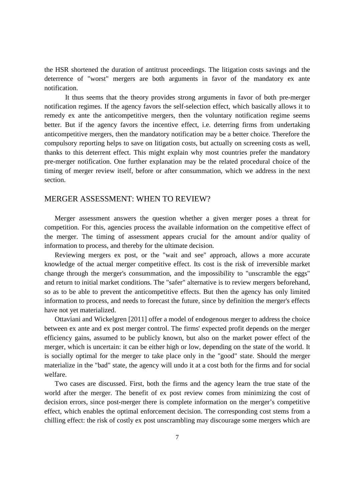the HSR shortened the duration of antitrust proceedings. The litigation costs savings and the deterrence of "worst" mergers are both arguments in favor of the mandatory ex ante notification.

It thus seems that the theory provides strong arguments in favor of both pre-merger notification regimes. If the agency favors the self-selection effect, which basically allows it to remedy ex ante the anticompetitive mergers, then the voluntary notification regime seems better. But if the agency favors the incentive effect, i.e. deterring firms from undertaking anticompetitive mergers, then the mandatory notification may be a better choice. Therefore the compulsory reporting helps to save on litigation costs, but actually on screening costs as well, thanks to this deterrent effect. This might explain why most countries prefer the mandatory pre-merger notification. One further explanation may be the related procedural choice of the timing of merger review itself, before or after consummation, which we address in the next section.

#### MERGER ASSESSMENT: WHEN TO REVIEW?

Merger assessment answers the question whether a given merger poses a threat for competition. For this, agencies process the available information on the competitive effect of the merger. The timing of assessment appears crucial for the amount and/or quality of information to process, and thereby for the ultimate decision.

Reviewing mergers ex post, or the "wait and see" approach, allows a more accurate knowledge of the actual merger competitive effect. Its cost is the risk of irreversible market change through the merger's consummation, and the impossibility to "unscramble the eggs" and return to initial market conditions. The "safer" alternative is to review mergers beforehand, so as to be able to prevent the anticompetitive effects. But then the agency has only limited information to process, and needs to forecast the future, since by definition the merger's effects have not yet materialized.

Ottaviani and Wickelgren [2011] offer a model of endogenous merger to address the choice between ex ante and ex post merger control. The firms' expected profit depends on the merger efficiency gains, assumed to be publicly known, but also on the market power effect of the merger, which is uncertain: it can be either high or low, depending on the state of the world. It is socially optimal for the merger to take place only in the "good" state. Should the merger materialize in the "bad" state, the agency will undo it at a cost both for the firms and for social welfare.

Two cases are discussed. First, both the firms and the agency learn the true state of the world after the merger. The benefit of ex post review comes from minimizing the cost of decision errors, since post-merger there is complete information on the merger's competitive effect, which enables the optimal enforcement decision. The corresponding cost stems from a chilling effect: the risk of costly ex post unscrambling may discourage some mergers which are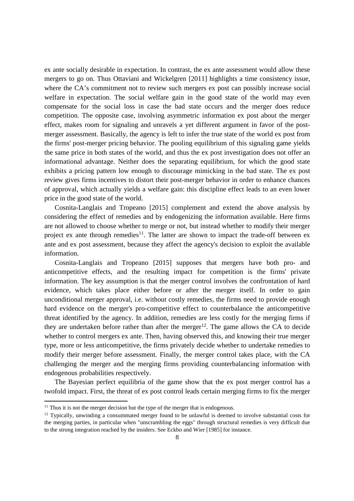ex ante socially desirable in expectation. In contrast, the ex ante assessment would allow these mergers to go on. Thus Ottaviani and Wickelgren [2011] highlights a time consistency issue, where the CA's commitment not to review such mergers ex post can possibly increase social welfare in expectation. The social welfare gain in the good state of the world may even compensate for the social loss in case the bad state occurs and the merger does reduce competition. The opposite case, involving asymmetric information ex post about the merger effect, makes room for signaling and unravels a yet different argument in favor of the postmerger assessment. Basically, the agency is left to infer the true state of the world ex post from the firms' post-merger pricing behavior. The pooling equilibrium of this signaling game yields the same price in both states of the world, and thus the ex post investigation does not offer an informational advantage. Neither does the separating equilibrium, for which the good state exhibits a pricing pattern low enough to discourage mimicking in the bad state. The ex post review gives firms incentives to distort their post-merger behavior in order to enhance chances of approval, which actually yields a welfare gain: this discipline effect leads to an even lower price in the good state of the world.

Cosnita-Langlais and Tropeano [2015] complement and extend the above analysis by considering the effect of remedies and by endogenizing the information available. Here firms are not allowed to choose whether to merge or not, but instead whether to modify their merger project ex ante through remedies<sup>11</sup>. The latter are shown to impact the trade-off between ex ante and ex post assessment, because they affect the agency's decision to exploit the available information.

Cosnita-Langlais and Tropeano [2015] supposes that mergers have both pro- and anticompetitive effects, and the resulting impact for competition is the firms' private information. The key assumption is that the merger control involves the confrontation of hard evidence, which takes place either before or after the merger itself. In order to gain unconditional merger approval, i.e. without costly remedies, the firms need to provide enough hard evidence on the merger's pro-competitive effect to counterbalance the anticompetitive threat identified by the agency. In addition, remedies are less costly for the merging firms if they are undertaken before rather than after the merger<sup>12</sup>. The game allows the CA to decide whether to control mergers ex ante. Then, having observed this, and knowing their true merger type, more or less anticompetitive, the firms privately decide whether to undertake remedies to modify their merger before assessment. Finally, the merger control takes place, with the CA challenging the merger and the merging firms providing counterbalancing information with endogenous probabilities respectively.

The Bayesian perfect equilibria of the game show that the ex post merger control has a twofold impact. First, the threat of ex post control leads certain merging firms to fix the merger

l,

 $11$  Thus it is not the merger decision but the type of the merger that is endogenous.

 $12$  Typically, unwinding a consummated merger found to be unlawful is deemed to involve substantial costs for the merging parties, in particular when "unscrambling the eggs" through structural remedies is very difficult due to the strong integration reached by the insiders. See Eckbo and Wier [1985] for instance.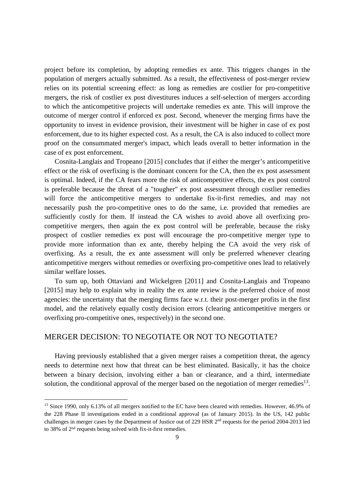project before its completion, by adopting remedies ex ante. This triggers changes in the population of mergers actually submitted. As a result, the effectiveness of post-merger review relies on its potential screening effect: as long as remedies are costlier for pro-competitive mergers, the risk of costlier ex post divestitures induces a self-selection of mergers according to which the anticompetitive projects will undertake remedies ex ante. This will improve the outcome of merger control if enforced ex post. Second, whenever the merging firms have the opportunity to invest in evidence provision, their investment will be higher in case of ex post enforcement, due to its higher expected cost. As a result, the CA is also induced to collect more proof on the consummated merger's impact, which leads overall to better information in the case of ex post enforcement.

Cosnita-Langlais and Tropeano [2015] concludes that if either the merger's anticompetitive effect or the risk of overfixing is the dominant concern for the CA, then the ex post assessment is optimal. Indeed, if the CA fears more the risk of anticompetitive effects, the ex post control is preferable because the threat of a "tougher" ex post assessment through costlier remedies will force the anticompetitive mergers to undertake fix-it-first remedies, and may not necessarily push the pro-competitive ones to do the same, i.e. provided that remedies are sufficiently costly for them. If instead the CA wishes to avoid above all overfixing procompetitive mergers, then again the ex post control will be preferable, because the risky prospect of costlier remedies ex post will encourage the pro-competitive merger type to provide more information than ex ante, thereby helping the CA avoid the very risk of overfixing. As a result, the ex ante assessment will only be preferred whenever clearing anticompetitive mergers without remedies or overfixing pro-competitive ones lead to relatively similar welfare losses.

To sum up, both Ottaviani and Wickelgren [2011] and Cosnita-Langlais and Tropeano [2015] may help to explain why in reality the ex ante review is the preferred choice of most agencies: the uncertainty that the merging firms face w.r.t. their post-merger profits in the first model, and the relatively equally costly decision errors (clearing anticompetitive mergers or overfixing pro-competitive ones, respectively) in the second one.

#### MERGER DECISION: TO NEGOTIATE OR NOT TO NEGOTIATE?

 $\overline{a}$ 

Having previously established that a given merger raises a competition threat, the agency needs to determine next how that threat can be best eliminated. Basically, it has the choice between a binary decision, involving either a ban or clearance, and a third, intermediate solution, the conditional approval of the merger based on the negotiation of merger remedies<sup>13</sup>.

<sup>&</sup>lt;sup>13</sup> Since 1990, only 6.13% of all mergers notified to the EC have been cleared with remedies. However, 46.9% of the 228 Phase II investigations ended in a conditional approval (as of January 2015). In the US, 142 public challenges in merger cases by the Department of Justice out of 229 HSR 2<sup>nd</sup> requests for the period 2004-2013 led to 38% of 2<sup>nd</sup> requests being solved with fix-it-first remedies.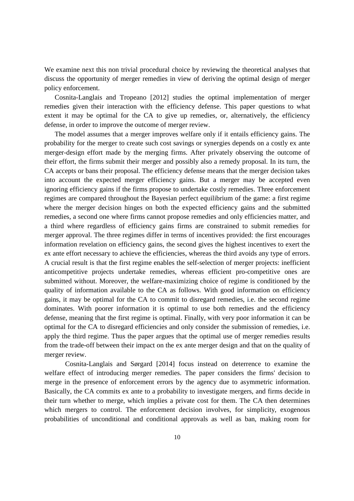We examine next this non trivial procedural choice by reviewing the theoretical analyses that discuss the opportunity of merger remedies in view of deriving the optimal design of merger policy enforcement.

Cosnita-Langlais and Tropeano [2012] studies the optimal implementation of merger remedies given their interaction with the efficiency defense. This paper questions to what extent it may be optimal for the CA to give up remedies, or, alternatively, the efficiency defense, in order to improve the outcome of merger review.

The model assumes that a merger improves welfare only if it entails efficiency gains. The probability for the merger to create such cost savings or synergies depends on a costly ex ante merger-design effort made by the merging firms. After privately observing the outcome of their effort, the firms submit their merger and possibly also a remedy proposal. In its turn, the CA accepts or bans their proposal. The efficiency defense means that the merger decision takes into account the expected merger efficiency gains. But a merger may be accepted even ignoring efficiency gains if the firms propose to undertake costly remedies. Three enforcement regimes are compared throughout the Bayesian perfect equilibrium of the game: a first regime where the merger decision hinges on both the expected efficiency gains and the submitted remedies, a second one where firms cannot propose remedies and only efficiencies matter, and a third where regardless of efficiency gains firms are constrained to submit remedies for merger approval. The three regimes differ in terms of incentives provided: the first encourages information revelation on efficiency gains, the second gives the highest incentives to exert the ex ante effort necessary to achieve the efficiencies, whereas the third avoids any type of errors. A crucial result is that the first regime enables the self-selection of merger projects: inefficient anticompetitive projects undertake remedies, whereas efficient pro-competitive ones are submitted without. Moreover, the welfare-maximizing choice of regime is conditioned by the quality of information available to the CA as follows. With good information on efficiency gains, it may be optimal for the CA to commit to disregard remedies, i.e. the second regime dominates. With poorer information it is optimal to use both remedies and the efficiency defense, meaning that the first regime is optimal. Finally, with very poor information it can be optimal for the CA to disregard efficiencies and only consider the submission of remedies, i.e. apply the third regime. Thus the paper argues that the optimal use of merger remedies results from the trade-off between their impact on the ex ante merger design and that on the quality of merger review.

Cosnita-Langlais and Sørgard [2014] focus instead on deterrence to examine the welfare effect of introducing merger remedies. The paper considers the firms' decision to merge in the presence of enforcement errors by the agency due to asymmetric information. Basically, the CA commits ex ante to a probability to investigate mergers, and firms decide in their turn whether to merge, which implies a private cost for them. The CA then determines which mergers to control. The enforcement decision involves, for simplicity, exogenous probabilities of unconditional and conditional approvals as well as ban, making room for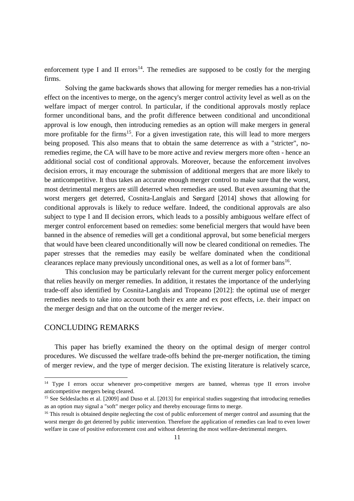enforcement type I and II errors<sup>14</sup>. The remedies are supposed to be costly for the merging firms.

Solving the game backwards shows that allowing for merger remedies has a non-trivial effect on the incentives to merge, on the agency's merger control activity level as well as on the welfare impact of merger control. In particular, if the conditional approvals mostly replace former unconditional bans, and the profit difference between conditional and unconditional approval is low enough, then introducing remedies as an option will make mergers in general more profitable for the firms<sup>15</sup>. For a given investigation rate, this will lead to more mergers being proposed. This also means that to obtain the same deterrence as with a "stricter", noremedies regime, the CA will have to be more active and review mergers more often - hence an additional social cost of conditional approvals. Moreover, because the enforcement involves decision errors, it may encourage the submission of additional mergers that are more likely to be anticompetitive. It thus takes an accurate enough merger control to make sure that the worst, most detrimental mergers are still deterred when remedies are used. But even assuming that the worst mergers get deterred, Cosnita-Langlais and Sørgard [2014] shows that allowing for conditional approvals is likely to reduce welfare. Indeed, the conditional approvals are also subject to type I and II decision errors, which leads to a possibly ambiguous welfare effect of merger control enforcement based on remedies: some beneficial mergers that would have been banned in the absence of remedies will get a conditional approval, but some beneficial mergers that would have been cleared unconditionally will now be cleared conditional on remedies. The paper stresses that the remedies may easily be welfare dominated when the conditional clearances replace many previously unconditional ones, as well as a lot of former bans<sup>16</sup>.

This conclusion may be particularly relevant for the current merger policy enforcement that relies heavily on merger remedies. In addition, it restates the importance of the underlying trade-off also identified by Cosnita-Langlais and Tropeano [2012]: the optimal use of merger remedies needs to take into account both their ex ante and ex post effects, i.e. their impact on the merger design and that on the outcome of the merger review.

#### CONCLUDING REMARKS

 $\overline{a}$ 

This paper has briefly examined the theory on the optimal design of merger control procedures. We discussed the welfare trade-offs behind the pre-merger notification, the timing of merger review, and the type of merger decision. The existing literature is relatively scarce,

<sup>&</sup>lt;sup>14</sup> Type I errors occur whenever pro-competitive mergers are banned, whereas type II errors involve anticompetitive mergers being cleared.

<sup>&</sup>lt;sup>15</sup> See Seldeslachts et al. [2009] and Duso et al. [2013] for empirical studies suggesting that introducing remedies as an option may signal a "soft" merger policy and thereby encourage firms to merge.

 $16$  This result is obtained despite neglecting the cost of public enforcement of merger control and assuming that the worst merger do get deterred by public intervention. Therefore the application of remedies can lead to even lower welfare in case of positive enforcement cost and without deterring the most welfare-detrimental mergers.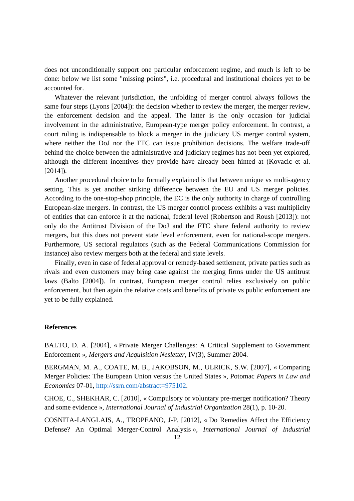does not unconditionally support one particular enforcement regime, and much is left to be done: below we list some "missing points", i.e. procedural and institutional choices yet to be accounted for.

Whatever the relevant jurisdiction, the unfolding of merger control always follows the same four steps (Lyons [2004]): the decision whether to review the merger, the merger review, the enforcement decision and the appeal. The latter is the only occasion for judicial involvement in the administrative, European-type merger policy enforcement. In contrast, a court ruling is indispensable to block a merger in the judiciary US merger control system, where neither the DoJ nor the FTC can issue prohibition decisions. The welfare trade-off behind the choice between the administrative and judiciary regimes has not been yet explored, although the different incentives they provide have already been hinted at (Kovacic et al. [2014]).

Another procedural choice to be formally explained is that between unique vs multi-agency setting. This is yet another striking difference between the EU and US merger policies. According to the one-stop-shop principle, the EC is the only authority in charge of controlling European-size mergers. In contrast, the US merger control process exhibits a vast multiplicity of entities that can enforce it at the national, federal level (Robertson and Roush [2013]): not only do the Antitrust Division of the DoJ and the FTC share federal authority to review mergers, but this does not prevent state level enforcement, even for national-scope mergers. Furthermore, US sectoral regulators (such as the Federal Communications Commission for instance) also review mergers both at the federal and state levels.

Finally, even in case of federal approval or remedy-based settlement, private parties such as rivals and even customers may bring case against the merging firms under the US antitrust laws (Balto [2004]). In contrast, European merger control relies exclusively on public enforcement, but then again the relative costs and benefits of private vs public enforcement are yet to be fully explained.

#### **References**

BALTO, D. A. [2004], « Private Merger Challenges: A Critical Supplement to Government Enforcement », *Mergers and Acquisition Nesletter*, IV(3), Summer 2004.

BERGMAN, M. A., COATE, M. B., JAKOBSON, M., ULRICK, S.W. [2007], « Comparing Merger Policies: The European Union versus the United States », Potomac *Papers in Law and Economics* 07-01, http://ssrn.com/abstract=975102.

CHOE, C., SHEKHAR, C. [2010], « Compulsory or voluntary pre-merger notification? Theory and some evidence », *International Journal of Industrial Organization* 28(1), p. 10-20.

COSNITA-LANGLAIS, A., TROPEANO, J-P. [2012], « Do Remedies Affect the Efficiency Defense? An Optimal Merger-Control Analysis », *International Journal of Industrial*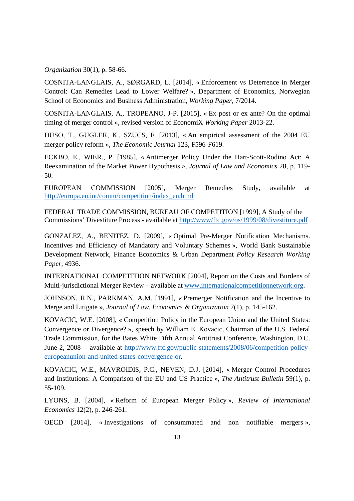*Organization* 30(1), p. 58-66.

COSNITA-LANGLAIS, A., SØRGARD, L. [2014], « Enforcement vs Deterrence in Merger Control: Can Remedies Lead to Lower Welfare? », Department of Economics, Norwegian School of Economics and Business Administration, *Working Paper*, 7/2014.

COSNITA-LANGLAIS, A., TROPEANO, J-P. [2015], « Ex post or ex ante? On the optimal timing of merger control », revised version of EconomiX *Working Paper* 2013-22.

DUSO, T., GUGLER, K., SZÜCS, F. [2013], « An empirical assessment of the 2004 EU merger policy reform », *The Economic Journal* 123, F596-F619.

ECKBO, E., WIER., P. [1985], « Antimerger Policy Under the Hart-Scott-Rodino Act: A Reexamination of the Market Power Hypothesis », *Journal of Law and Economics* 28, p. 119- 50.

EUROPEAN COMMISSION [2005], Merger Remedies Study, available at http://europa.eu.int/comm/competition/index\_en.html

FEDERAL TRADE COMMISSION, BUREAU OF COMPETITION [1999], A Study of the Commissions' Divestiture Process - available at http://www/ftc.gov/os/1999/08/divestiture.pdf

GONZALEZ, A., BENITEZ, D. [2009], « Optimal Pre-Merger Notification Mechanisms. Incentives and Efficiency of Mandatory and Voluntary Schemes », World Bank Sustainable Development Network, Finance Economics & Urban Department *Policy Research Working Paper*, 4936.

INTERNATIONAL COMPETITION NETWORK [2004], Report on the Costs and Burdens of Multi-jurisdictional Merger Review – available at www.internationalcompetitionnetwork.org.

JOHNSON, R.N., PARKMAN, A.M. [1991], « Premerger Notification and the Incentive to Merge and Litigate », *Journal of Law, Economics & Organization* 7(1), p. 145-162.

KOVACIC, W.E. [2008], « Competition Policy in the European Union and the United States: Convergence or Divergence? », speech by William E. Kovacic, Chairman of the U.S. Federal Trade Commission, for the Bates White Fifth Annual Antitrust Conference, Washington, D.C. June 2, 2008 - available at http://www.ftc.gov/public-statements/2008/06/competition-policyeuropeanunion-and-united-states-convergence-or.

KOVACIC, W.E., MAVROIDIS, P.C., NEVEN, D.J. [2014], « Merger Control Procedures and Institutions: A Comparison of the EU and US Practice », *The Antitrust Bulletin* 59(1), p. 55-109.

LYONS, B. [2004], « Reform of European Merger Policy », *Review of International Economics* 12(2), p. 246-261.

OECD [2014], « Investigations of consummated and non notifiable mergers »,